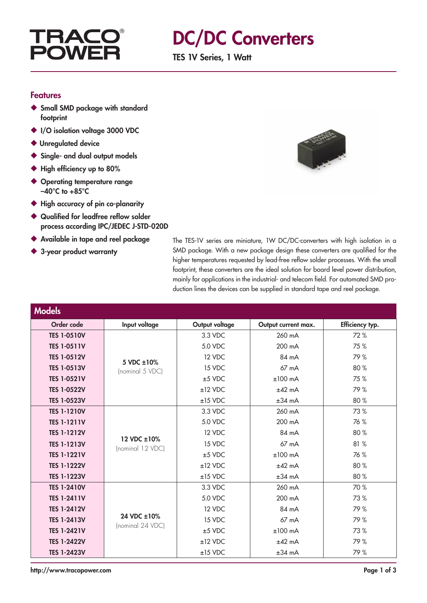

### DC/DC Converters

TES 1V Series, 1 Watt

#### Features

- ◆ Small SMD package with standard footprint
- ◆ I/O isolation voltage 3000 VDC
- ◆ Unregulated device
- ◆ Single- and dual output models
- ◆ High efficiency up to 80%
- ◆ Operating temperature range  $-40^{\circ}$ C to  $+85^{\circ}$ C
- ◆ High accuracy of pin co-planarity
- ◆ Qualified for leadfree reflow solder process according IPC/JEDEC J-STD-020D
- ◆ Available in tape and reel package
- ◆ 3-year product warranty



The TES-1V series are miniature, 1W DC/DC-converters with high isolation in a SMD package. With a new package design these converters are qualified for the higher temperatures requested by lead-free reflow solder processes. With the small footprint, these converters are the ideal solution for board level power distribution, mainly for applications in the industrial- and telecom field. For automated SMD production lines the devices can be supplied in standard tape and reel package.

| <b>Models</b>      |                                 |                |                     |                 |
|--------------------|---------------------------------|----------------|---------------------|-----------------|
| Order code         | Input voltage                   | Output voltage | Output current max. | Efficiency typ. |
| <b>TES 1-0510V</b> |                                 | 3.3 VDC        | 260 mA              | 72%             |
| <b>TES 1-0511V</b> | 5 VDC ±10%<br>(nominal 5 VDC)   | 5.0 VDC        | 200 mA              | 75 %            |
| <b>TES 1-0512V</b> |                                 | 12 VDC         | 84 mA               | 79%             |
| <b>TES 1-0513V</b> |                                 | 15 VDC         | $67 \text{ mA}$     | 80%             |
| <b>TES 1-0521V</b> |                                 | $±5$ VDC       | $±100$ mA           | 75%             |
| <b>TES 1-0522V</b> |                                 | $±12$ VDC      | $±42$ mA            | 79%             |
| <b>TES 1-0523V</b> |                                 | $±15$ VDC      | $±34$ mA            | 80 %            |
| <b>TES 1-1210V</b> | 12 VDC ±10%<br>(nominal 12 VDC) | 3.3 VDC        | 260 mA              | 73 %            |
| <b>TES 1-1211V</b> |                                 | 5.0 VDC        | 200 mA              | 76 %            |
| <b>TES 1-1212V</b> |                                 | 12 VDC         | 84 mA               | 80%             |
| <b>TES 1-1213V</b> |                                 | 15 VDC         | 67 mA               | 81 %            |
| <b>TES 1-1221V</b> |                                 | $±5$ VDC       | $±100$ mA           | 76 %            |
| <b>TES 1-1222V</b> |                                 | $±12$ VDC      | $±42$ mA            | 80%             |
| <b>TES 1-1223V</b> |                                 | $±15$ VDC      | $±34$ mA            | 80 %            |
| <b>TES 1-2410V</b> | 24 VDC ±10%<br>(nominal 24 VDC) | 3.3 VDC        | 260 mA              | 70 %            |
| <b>TES 1-2411V</b> |                                 | 5.0 VDC        | 200 mA              | 73 %            |
| <b>TES 1-2412V</b> |                                 | 12 VDC         | 84 mA               | 79%             |
| <b>TES 1-2413V</b> |                                 | 15 VDC         | $67 \text{ mA}$     | 79%             |
| <b>TES 1-2421V</b> |                                 | $±5$ VDC       | $±100$ mA           | 73%             |
| <b>TES 1-2422V</b> |                                 | $±12$ VDC      | $±42$ mA            | 79%             |
| <b>TES 1-2423V</b> |                                 | $±15$ VDC      | $±34$ mA            | 79%             |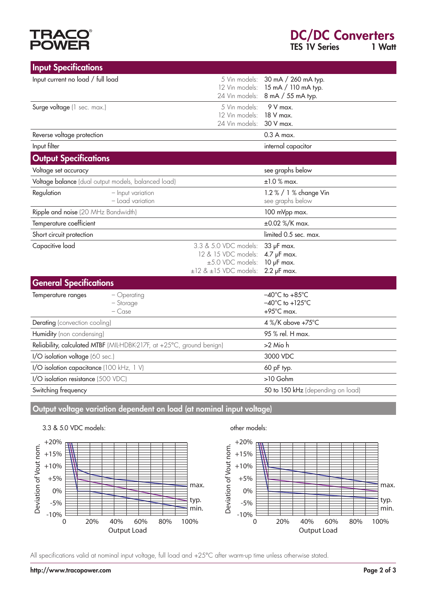# **TRACO**<br>POWER

| <b>Input Specifications</b>                                           |                                       |                                                                                                     |                                                                                                    |
|-----------------------------------------------------------------------|---------------------------------------|-----------------------------------------------------------------------------------------------------|----------------------------------------------------------------------------------------------------|
| Input current no load / full load                                     |                                       | 5 Vin models:<br>12 Vin models:<br>24 Vin models:                                                   | 30 mA / 260 mA typ.<br>15 mA / 110 mA typ.<br>8 mA / 55 mA typ.                                    |
| Surge voltage (1 sec. max.)                                           |                                       | 5 Vin models:<br>12 Vin models:<br>24 Vin models:                                                   | $9V$ max.<br>18 V max.<br>30 V max.                                                                |
| Reverse voltage protection                                            |                                       |                                                                                                     | $0.3A$ max.                                                                                        |
| Input filter                                                          |                                       |                                                                                                     | internal capacitor                                                                                 |
| <b>Output Specifications</b>                                          |                                       |                                                                                                     |                                                                                                    |
| Voltage set accuracy                                                  |                                       |                                                                                                     | see graphs below                                                                                   |
| Voltage balance (dual output models, balanced load)                   |                                       |                                                                                                     | $±1.0$ % max.                                                                                      |
| Regulation                                                            | - Input variation<br>- Load variation |                                                                                                     | 1.2 % / 1 % change Vin<br>see graphs below                                                         |
| Ripple and noise (20 MHz Bandwidth)                                   |                                       |                                                                                                     | 100 mVpp max.                                                                                      |
| Temperature coefficient                                               |                                       |                                                                                                     | ±0.02 %/K max.                                                                                     |
| Short circuit protection                                              |                                       |                                                                                                     | limited 0.5 sec. max.                                                                              |
| Capacitive load                                                       |                                       | 3.3 & 5.0 VDC models:<br>12 & 15 VDC models:<br>±5.0 VDC models:<br>$\pm$ 12 & $\pm$ 15 VDC models: | 33 µF max.<br>$4.7$ $\mu$ F max.<br>$10$ $\mu$ F max.<br>$2.2$ $\mu$ F max.                        |
| <b>General Specifications</b>                                         |                                       |                                                                                                     |                                                                                                    |
| Temperature ranges                                                    | - Operating<br>- Storage<br>$-$ Case  |                                                                                                     | $-40^{\circ}$ C to $+85^{\circ}$ C<br>$-40^{\circ}$ C to +125 $^{\circ}$ C<br>$+95^{\circ}$ C max. |
| Derating (convection cooling)                                         |                                       |                                                                                                     | 4 %/K above +75°C                                                                                  |
| Humidity (non condensing)                                             |                                       |                                                                                                     | 95 % rel. H max.                                                                                   |
| Reliability, calculated MTBF (MIL-HDBK-217F, at +25°C, ground benign) |                                       |                                                                                                     | >2 Mio h                                                                                           |
| I/O isolation voltage (60 sec.)                                       |                                       |                                                                                                     | 3000 VDC                                                                                           |
| I/O isolation capacitance (100 kHz, 1 V)                              |                                       |                                                                                                     | 60 pF typ.                                                                                         |
| I/O isolation resistance (500 VDC)                                    |                                       |                                                                                                     | >10 Gohm                                                                                           |
| Switching frequency                                                   |                                       |                                                                                                     | 50 to 150 kHz (depending on load)                                                                  |

Output voltage variation dependent on load (at nominal input voltage)



All specifications valid at nominal input voltage, full load and +25°C after warm-up time unless otherwise stated.